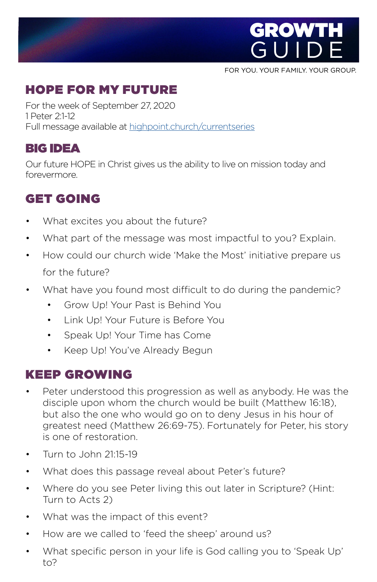

FOR YOU. YOUR FAMILY. YOUR GROUP.

# HOPE FOR MY FUTURE

For the week of September 27, 2020 1 Peter 2:1-12 Full message available at [highpoint.church/currentseries](http://highpoint.church/currentseries)

### BIG IDEA

Our future HOPE in Christ gives us the ability to live on mission today and forevermore.

## GET GOIN[G](https://www.highpoint.church/reconciliation/)

- What excites you about the future?
- What part of the message was most impactful to you? Explain.
- How could our church wide 'Make the Most' initiative prepare us for the future?
- What have you found most difficult to do during the pandemic?
	- Grow Up! Your Past is Behind You
	- Link Up! Your Future is Before You
	- Speak Up! Your Time has Come
	- Keep Up! You've Already Begun

### KEEP GROWING

- Peter understood this progression as well as anybody. He was the disciple upon whom the church would be built (Matthew 16:18), but also the one who would go on to deny Jesus in his hour of greatest need (Matthew 26:69-75). Fortunately for Peter, his story is one of restoration.
- Turn to John 21:15-19
- What does this passage reveal about Peter's future?
- Where do you see Peter living this out later in Scripture? (Hint: Turn to Acts 2)
- What was the impact of this event?
- How are we called to 'feed the sheep' around us?
- What specific person in your life is God calling you to 'Speak Up' to?